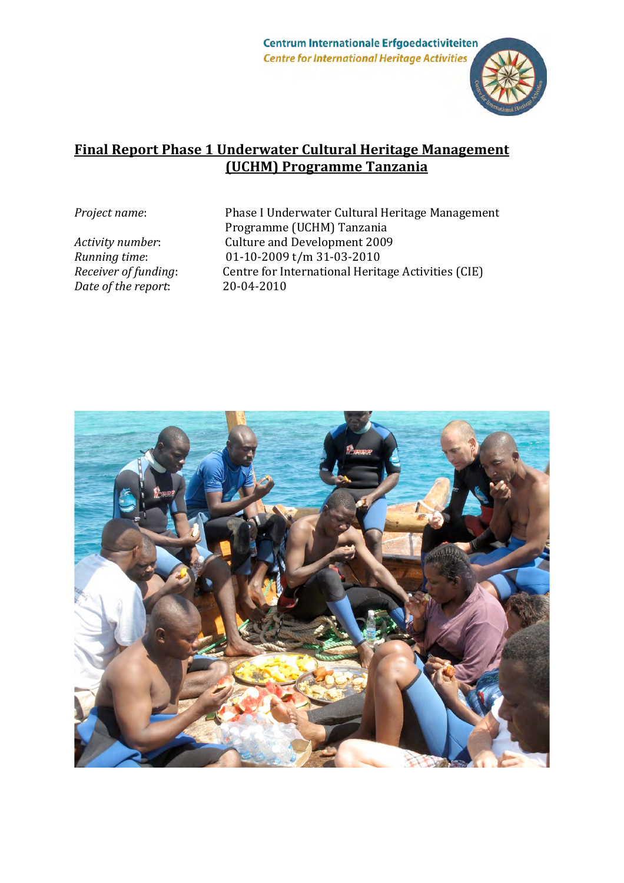Centrum Internationale Erfgoedactiviteiten **Centre for International Heritage Activities** 



## **Final Report Phase 1 Underwater Cultural Heritage Management (UCHM)!Programme!Tanzania**

*Date of the report:* 20-04-2010

Project name: Phase I Underwater Cultural Heritage Management Programme (UCHM) Tanzania Activity number: Culture and Development 2009 *Running time:* 101-10-2009 t/m 31-03-2010<br> *Receiver of funding:* Centre for International Herita *Centre for International Heritage Activities (CIE)* 

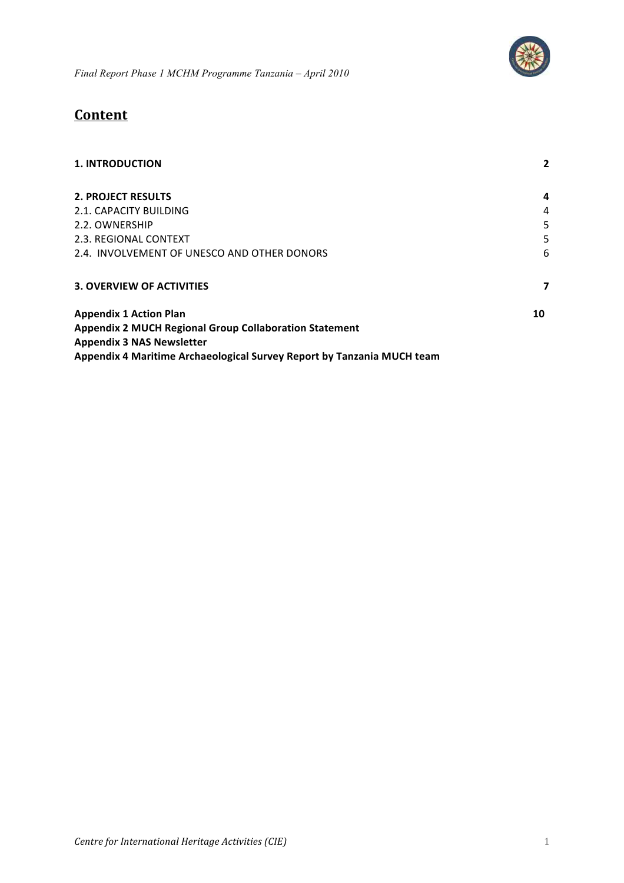

*Final Report Phase 1 MCHM Programme Tanzania – April 2010*

# **Content**

| <b>1. INTRODUCTION</b>                                                 | $\overline{2}$ |
|------------------------------------------------------------------------|----------------|
| <b>2. PROJECT RESULTS</b>                                              | 4              |
| 2.1. CAPACITY BUILDING                                                 | 4              |
| 2.2. OWNERSHIP                                                         | 5.             |
| 2.3. REGIONAL CONTEXT                                                  | 5.             |
| 2.4. INVOLVEMENT OF UNESCO AND OTHER DONORS                            | 6              |
| <b>3. OVERVIEW OF ACTIVITIES</b>                                       | 7              |
| <b>Appendix 1 Action Plan</b>                                          | 10             |
| <b>Appendix 2 MUCH Regional Group Collaboration Statement</b>          |                |
| <b>Appendix 3 NAS Newsletter</b>                                       |                |
| Appendix 4 Maritime Archaeological Survey Report by Tanzania MUCH team |                |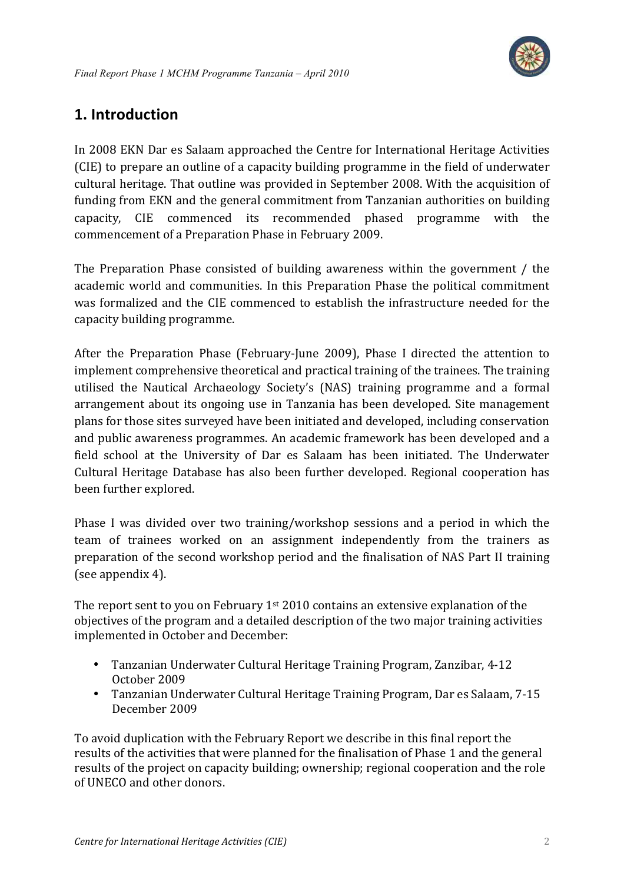

# **1. Introduction**

In 2008 EKN Dar es Salaam approached the Centre for International Heritage Activities (CIE) to prepare an outline of a capacity building programme in the field of underwater cultural heritage. That outline was provided in September 2008. With the acquisition of funding from EKN and the general commitment from Tanzanian authorities on building capacity, CIE commenced its recommended phased programme with the commencement of a Preparation Phase in February 2009.

The Preparation Phase consisted of building awareness within the government / the academic world and communities. In this Preparation Phase the political commitment was formalized and the CIE commenced to establish the infrastructure needed for the capacity building programme.

After the Preparation Phase (February-June 2009), Phase I directed the attention to implement comprehensive theoretical and practical training of the trainees. The training utilised the Nautical Archaeology Society's (NAS) training programme and a formal arrangement about its ongoing use in Tanzania has been developed. Site management plans for those sites surveyed have been initiated and developed, including conservation and public awareness programmes. An academic framework has been developed and a field school at the University of Dar es Salaam has been initiated. The Underwater Cultural Heritage Database has also been further developed. Regional cooperation has been further explored.

Phase I was divided over two training/workshop sessions and a period in which the team of trainees worked on an assignment independently from the trainers as preparation of the second workshop period and the finalisation of NAS Part II training (see appendix  $4$ ).

The report sent to you on February  $1^{st}$  2010 contains an extensive explanation of the objectives of the program and a detailed description of the two major training activities implemented in October and December:

- Tanzanian Underwater Cultural Heritage Training Program, Zanzibar, 4-12 October 2009
- Tanzanian Underwater Cultural Heritage Training Program, Dar es Salaam, 7-15 December 2009

To avoid duplication with the February Report we describe in this final report the results of the activities that were planned for the finalisation of Phase 1 and the general results of the project on capacity building; ownership; regional cooperation and the role of UNECO and other donors.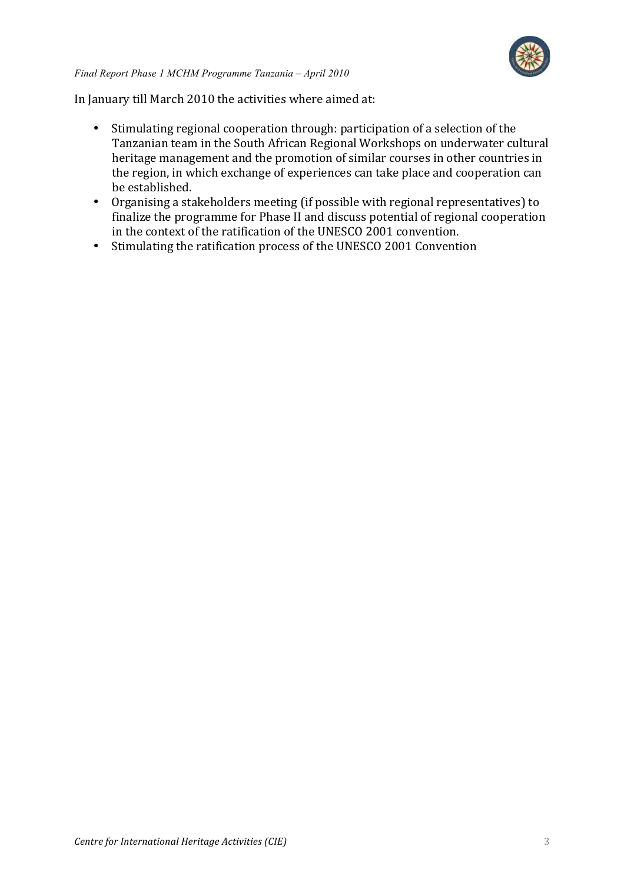

In January till March 2010 the activities where aimed at:

- Stimulating regional cooperation through: participation of a selection of the Tanzanian team in the South African Regional Workshops on underwater cultural heritage management and the promotion of similar courses in other countries in the region, in which exchange of experiences can take place and cooperation can be established.
- Organising a stakeholders meeting (if possible with regional representatives) to finalize the programme for Phase II and discuss potential of regional cooperation in the context of the ratification of the UNESCO 2001 convention.
- Stimulating the ratification process of the UNESCO 2001 Convention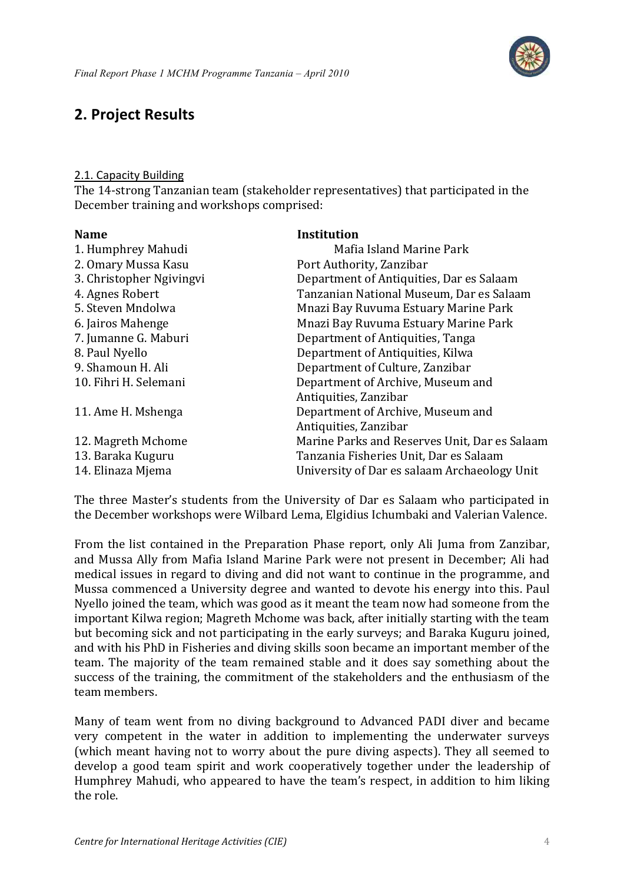

# **2. Project Results**

### 2.1. Capacity Building

The 14-strong Tanzanian team (stakeholder representatives) that participated in the December training and workshops comprised:

| <b>Name</b>              | <b>Institution</b>                            |
|--------------------------|-----------------------------------------------|
| 1. Humphrey Mahudi       | Mafia Island Marine Park                      |
| 2. Omary Mussa Kasu      | Port Authority, Zanzibar                      |
| 3. Christopher Ngivingvi | Department of Antiquities, Dar es Salaam      |
| 4. Agnes Robert          | Tanzanian National Museum, Dar es Salaam      |
| 5. Steven Mndolwa        | Mnazi Bay Ruvuma Estuary Marine Park          |
| 6. Jairos Mahenge        | Mnazi Bay Ruvuma Estuary Marine Park          |
| 7. Jumanne G. Maburi     | Department of Antiquities, Tanga              |
| 8. Paul Nyello           | Department of Antiquities, Kilwa              |
| 9. Shamoun H. Ali        | Department of Culture, Zanzibar               |
| 10. Fihri H. Selemani    | Department of Archive, Museum and             |
|                          | Antiquities, Zanzibar                         |
| 11. Ame H. Mshenga       | Department of Archive, Museum and             |
|                          | Antiquities, Zanzibar                         |
| 12. Magreth Mchome       | Marine Parks and Reserves Unit, Dar es Salaam |
| 13. Baraka Kuguru        | Tanzania Fisheries Unit, Dar es Salaam        |
| 14. Elinaza Mjema        | University of Dar es salaam Archaeology Unit  |

The three Master's students from the University of Dar es Salaam who participated in the December workshops were Wilbard Lema, Elgidius Ichumbaki and Valerian Valence.

From the list contained in the Preparation Phase report, only Ali Juma from Zanzibar, and Mussa Ally from Mafia Island Marine Park were not present in December; Ali had medical issues in regard to diving and did not want to continue in the programme, and Mussa commenced a University degree and wanted to devote his energy into this. Paul Nyello joined the team, which was good as it meant the team now had someone from the important Kilwa region; Magreth Mchome was back, after initially starting with the team but becoming sick and not participating in the early surveys; and Baraka Kuguru joined, and with his PhD in Fisheries and diving skills soon became an important member of the team. The majority of the team remained stable and it does say something about the success of the training, the commitment of the stakeholders and the enthusiasm of the team members.

Many of team went from no diving background to Advanced PADI diver and became very competent in the water in addition to implementing the underwater surveys (which meant having not to worry about the pure diving aspects). They all seemed to develop a good team spirit and work cooperatively together under the leadership of Humphrey Mahudi, who appeared to have the team's respect, in addition to him liking the role.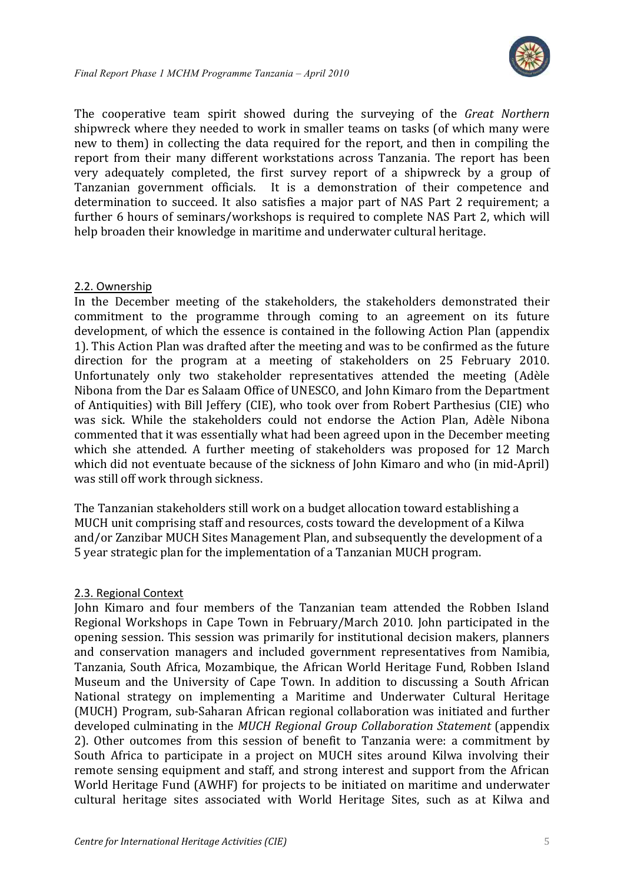

The cooperative team spirit showed during the surveying of the *Great Northern* shipwreck where they needed to work in smaller teams on tasks (of which many were new to them) in collecting the data required for the report, and then in compiling the report from their many different workstations across Tanzania. The report has been very adequately completed, the first survey report of a shipwreck by a group of Tanzanian government officials. It is a demonstration of their competence and determination to succeed. It also satisfies a major part of NAS Part 2 requirement; a further 6 hours of seminars/workshops is required to complete NAS Part 2, which will help broaden their knowledge in maritime and underwater cultural heritage.

### 2.2. Ownership

In the December meeting of the stakeholders, the stakeholders demonstrated their commitment to the programme through coming to an agreement on its future development, of which the essence is contained in the following Action Plan (appendix 1). This Action Plan was drafted after the meeting and was to be confirmed as the future direction for the program at a meeting of stakeholders on 25 February 2010. Unfortunately only two stakeholder representatives attended the meeting (Adèle Nibona from the Dar es Salaam Office of UNESCO, and John Kimaro from the Department of Antiquities) with Bill Jeffery (CIE), who took over from Robert Parthesius (CIE) who was sick. While the stakeholders could not endorse the Action Plan, Adèle Nibona commented that it was essentially what had been agreed upon in the December meeting which she attended. A further meeting of stakeholders was proposed for 12 March which did not eventuate because of the sickness of John Kimaro and who (in mid-April) was still off work through sickness.

The Tanzanian stakeholders still work on a budget allocation toward establishing a MUCH unit comprising staff and resources, costs toward the development of a Kilwa and/or Zanzibar MUCH Sites Management Plan, and subsequently the development of a 5 year strategic plan for the implementation of a Tanzanian MUCH program.

### 2.3. Regional Context

John Kimaro and four members of the Tanzanian team attended the Robben Island Regional Workshops in Cape Town in February/March 2010. John participated in the opening session. This session was primarily for institutional decision makers, planners and conservation managers and included government representatives from Namibia, Tanzania, South Africa, Mozambique, the African World Heritage Fund, Robben Island Museum and the University of Cape Town. In addition to discussing a South African National strategy on implementing a Maritime and Underwater Cultural Heritage (MUCH) Program, sub-Saharan African regional collaboration was initiated and further developed culminating in the *MUCH Regional Group Collaboration Statement* (appendix 2). Other outcomes from this session of benefit to Tanzania were: a commitment by South Africa to participate in a project on MUCH sites around Kilwa involving their remote sensing equipment and staff, and strong interest and support from the African World Heritage Fund (AWHF) for projects to be initiated on maritime and underwater cultural heritage sites associated with World Heritage Sites, such as at Kilwa and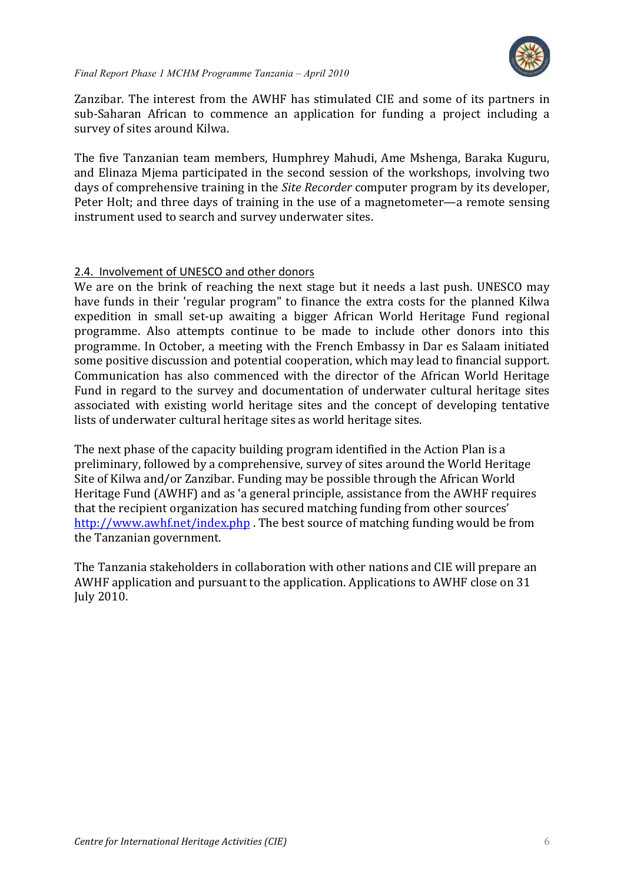

Zanzibar. The interest from the AWHF has stimulated CIE and some of its partners in sub-Saharan African to commence an application for funding a project including a survey of sites around Kilwa.

The five Tanzanian team members, Humphrey Mahudi, Ame Mshenga, Baraka Kuguru, and Elinaza Mjema participated in the second session of the workshops, involving two days of comprehensive training in the *Site Recorder* computer program by its developer, Peter Holt; and three days of training in the use of a magnetometer—a remote sensing instrument used to search and survey underwater sites.

### 2.4. Involvement of UNESCO and other donors

We are on the brink of reaching the next stage but it needs a last push. UNESCO may have funds in their 'regular program" to finance the extra costs for the planned Kilwa expedition in small set-up awaiting a bigger African World Heritage Fund regional programme. Also attempts continue to be made to include other donors into this programme. In October, a meeting with the French Embassy in Dar es Salaam initiated some positive discussion and potential cooperation, which may lead to financial support. Communication has also commenced with the director of the African World Heritage Fund in regard to the survey and documentation of underwater cultural heritage sites associated with existing world heritage sites and the concept of developing tentative lists of underwater cultural heritage sites as world heritage sites.

The next phase of the capacity building program identified in the Action Plan is a preliminary, followed by a comprehensive, survey of sites around the World Heritage Site of Kilwa and/or Zanzibar. Funding may be possible through the African World Heritage Fund (AWHF) and as 'a general principle, assistance from the AWHF requires that the recipient organization has secured matching funding from other sources' http://www.awhf.net/index.php . The best source of matching funding would be from the Tanzanian government.

The Tanzania stakeholders in collaboration with other nations and CIE will prepare an AWHF application and pursuant to the application. Applications to AWHF close on 31 **July 2010.**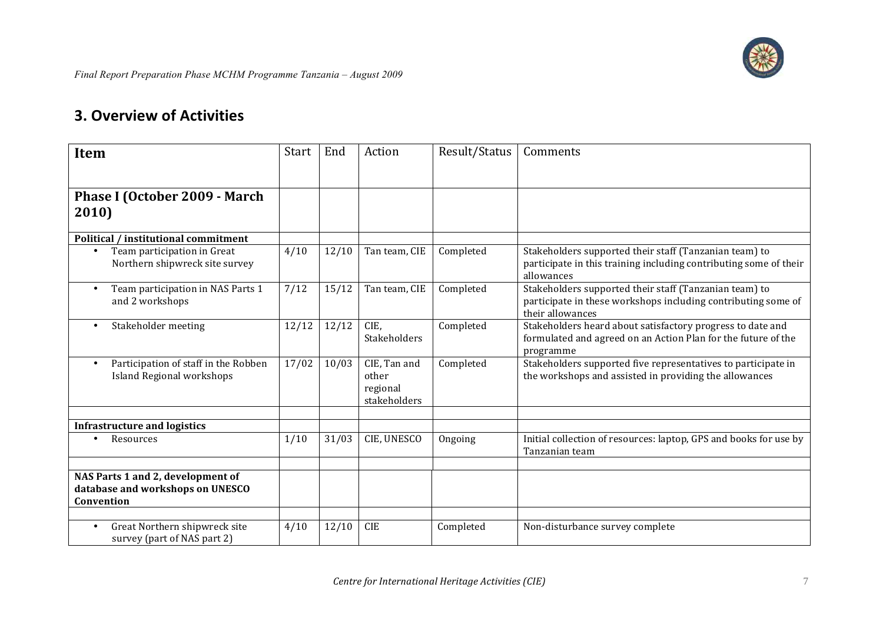

# **3. Overview of Activities**

| <b>Item</b>                                                  | Start | End   | Action                   | Result/Status | Comments                                                                          |
|--------------------------------------------------------------|-------|-------|--------------------------|---------------|-----------------------------------------------------------------------------------|
|                                                              |       |       |                          |               |                                                                                   |
|                                                              |       |       |                          |               |                                                                                   |
| Phase I (October 2009 - March                                |       |       |                          |               |                                                                                   |
| 2010)                                                        |       |       |                          |               |                                                                                   |
| <b>Political / institutional commitment</b>                  |       |       |                          |               |                                                                                   |
| Team participation in Great                                  | 4/10  | 12/10 | Tan team, CIE            | Completed     | Stakeholders supported their staff (Tanzanian team) to                            |
| Northern shipwreck site survey                               |       |       |                          |               | participate in this training including contributing some of their<br>allowances   |
| Team participation in NAS Parts 1                            | 7/12  | 15/12 | Tan team, CIE            | Completed     | Stakeholders supported their staff (Tanzanian team) to                            |
| and 2 workshops                                              |       |       |                          |               | participate in these workshops including contributing some of<br>their allowances |
| Stakeholder meeting                                          | 12/12 | 12/12 | CIE,                     | Completed     | Stakeholders heard about satisfactory progress to date and                        |
|                                                              |       |       | <b>Stakeholders</b>      |               | formulated and agreed on an Action Plan for the future of the                     |
|                                                              |       |       |                          |               | programme                                                                         |
| Participation of staff in the Robben                         | 17/02 | 10/03 | CIE, Tan and             | Completed     | Stakeholders supported five representatives to participate in                     |
| Island Regional workshops                                    |       |       | other                    |               | the workshops and assisted in providing the allowances                            |
|                                                              |       |       | regional<br>stakeholders |               |                                                                                   |
|                                                              |       |       |                          |               |                                                                                   |
| <b>Infrastructure and logistics</b>                          |       |       |                          |               |                                                                                   |
| Resources                                                    | 1/10  | 31/03 | CIE, UNESCO              | Ongoing       | Initial collection of resources: laptop, GPS and books for use by                 |
|                                                              |       |       |                          |               | Tanzanian team                                                                    |
| NAS Parts 1 and 2, development of                            |       |       |                          |               |                                                                                   |
| database and workshops on UNESCO                             |       |       |                          |               |                                                                                   |
| Convention                                                   |       |       |                          |               |                                                                                   |
|                                                              |       |       |                          |               |                                                                                   |
| Great Northern shipwreck site<br>survey (part of NAS part 2) | 4/10  | 12/10 | <b>CIE</b>               | Completed     | Non-disturbance survey complete                                                   |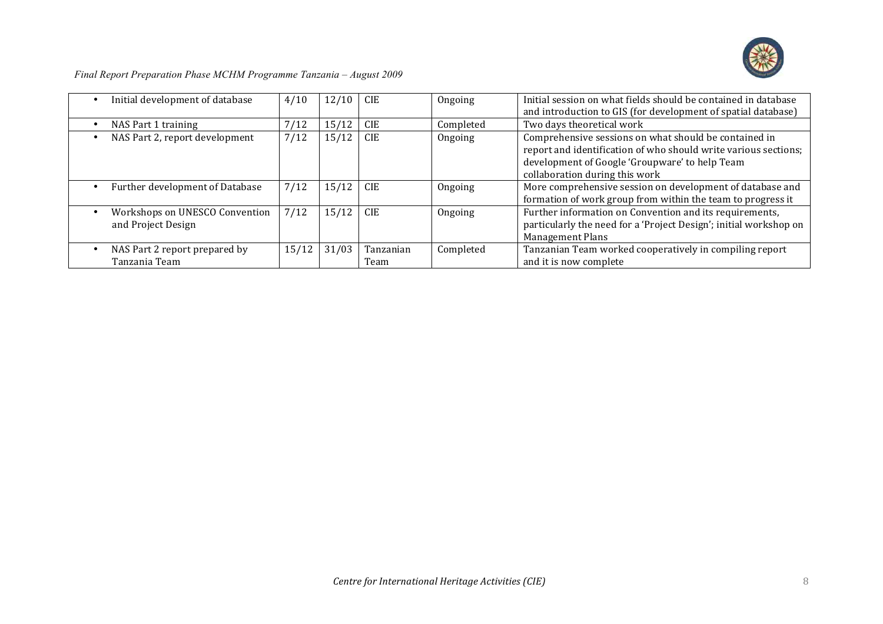

|  | Final Report Preparation Phase MCHM Programme Tanzania - August 2009 |  |
|--|----------------------------------------------------------------------|--|
|  |                                                                      |  |

| Initial development of database | 4/10  | 12/10 | <b>CIE</b> | Ongoing   | Initial session on what fields should be contained in database    |
|---------------------------------|-------|-------|------------|-----------|-------------------------------------------------------------------|
|                                 |       |       |            |           | and introduction to GIS (for development of spatial database)     |
| NAS Part 1 training             | 7/12  | 15/12 | <b>CIE</b> | Completed | Two days theoretical work                                         |
| NAS Part 2, report development  | 7/12  | 15/12 | <b>CIE</b> | Ongoing   | Comprehensive sessions on what should be contained in             |
|                                 |       |       |            |           | report and identification of who should write various sections;   |
|                                 |       |       |            |           | development of Google 'Groupware' to help Team                    |
|                                 |       |       |            |           | collaboration during this work                                    |
| Further development of Database | 7/12  | 15/12 | <b>CIE</b> | Ongoing   | More comprehensive session on development of database and         |
|                                 |       |       |            |           | formation of work group from within the team to progress it       |
| Workshops on UNESCO Convention  | 7/12  | 15/12 | <b>CIE</b> | Ongoing   | Further information on Convention and its requirements,           |
| and Project Design              |       |       |            |           | particularly the need for a 'Project Design'; initial workshop on |
|                                 |       |       |            |           | <b>Management Plans</b>                                           |
| NAS Part 2 report prepared by   | 15/12 | 31/03 | Tanzanian  | Completed | Tanzanian Team worked cooperatively in compiling report           |
| Tanzania Team                   |       |       | Team       |           | and it is now complete                                            |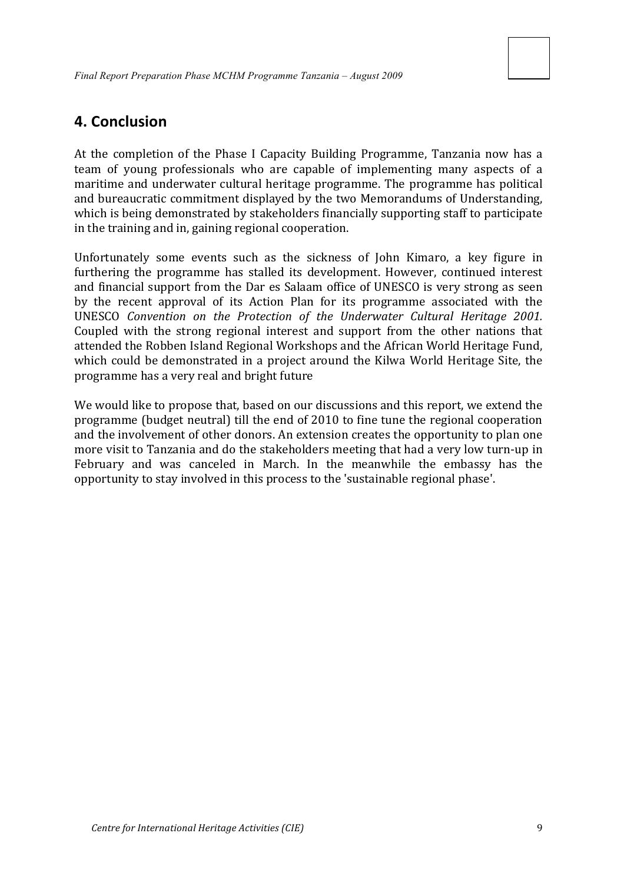### **4. Conclusion**

At the completion of the Phase I Capacity Building Programme, Tanzania now has a team of young professionals who are capable of implementing many aspects of a maritime and underwater cultural heritage programme. The programme has political and bureaucratic commitment displayed by the two Memorandums of Understanding, which is being demonstrated by stakeholders financially supporting staff to participate in the training and in, gaining regional cooperation.

Unfortunately some events such as the sickness of John Kimaro, a key figure in furthering the programme has stalled its development. However, continued interest and financial support from the Dar es Salaam office of UNESCO is very strong as seen by the recent approval of its Action Plan for its programme associated with the UNESCO *Convention on the Protection of the Underwater Cultural Heritage 2001.* Coupled with the strong regional interest and support from the other nations that attended the Robben Island Regional Workshops and the African World Heritage Fund, which could be demonstrated in a project around the Kilwa World Heritage Site, the programme has a very real and bright future

We would like to propose that, based on our discussions and this report, we extend the programme (budget neutral) till the end of 2010 to fine tune the regional cooperation and the involvement of other donors. An extension creates the opportunity to plan one more visit to Tanzania and do the stakeholders meeting that had a very low turn-up in February and was canceled in March. In the meanwhile the embassy has the opportunity to stay involved in this process to the 'sustainable regional phase'.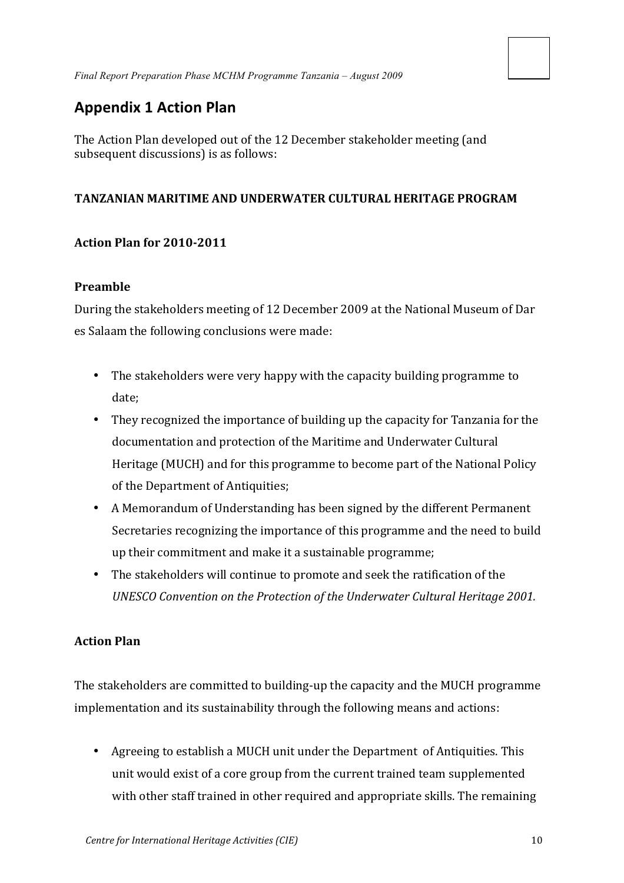# **Appendix 1 Action Plan**

The Action Plan developed out of the 12 December stakeholder meeting (and subsequent discussions) is as follows:

### TANZANIAN MARITIME AND UNDERWATER CULTURAL HERITAGE PROGRAM

### **Action&Plan&for&2010?2011**

### **Preamble**

During the stakeholders meeting of 12 December 2009 at the National Museum of Dar es Salaam the following conclusions were made:

- The stakeholders were very happy with the capacity building programme to date;
- They recognized the importance of building up the capacity for Tanzania for the documentation and protection of the Maritime and Underwater Cultural Heritage (MUCH) and for this programme to become part of the National Policy of the Department of Antiquities;
- A Memorandum of Understanding has been signed by the different Permanent Secretaries recognizing the importance of this programme and the need to build up their commitment and make it a sustainable programme;
- The stakeholders will continue to promote and seek the ratification of the **UNESCO Convention on the Protection of the Underwater Cultural Heritage 2001.**

### **Action&Plan**

The stakeholders are committed to building-up the capacity and the MUCH programme implementation and its sustainability through the following means and actions:

• Agreeing to establish a MUCH unit under the Department of Antiquities. This unit would exist of a core group from the current trained team supplemented with other staff trained in other required and appropriate skills. The remaining